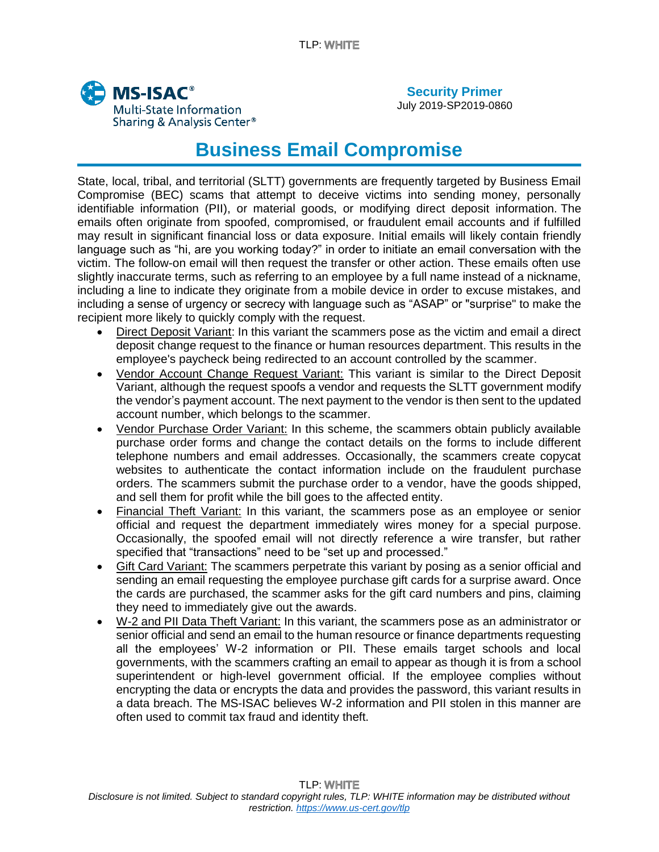

July 2019-SP2019-0860

## **Business Email Compromise**

State, local, tribal, and territorial (SLTT) governments are frequently targeted by Business Email Compromise (BEC) scams that attempt to deceive victims into sending money, personally identifiable information (PII), or material goods, or modifying direct deposit information. The emails often originate from spoofed, compromised, or fraudulent email accounts and if fulfilled may result in significant financial loss or data exposure. Initial emails will likely contain friendly language such as "hi, are you working today?" in order to initiate an email conversation with the victim. The follow-on email will then request the transfer or other action. These emails often use slightly inaccurate terms, such as referring to an employee by a full name instead of a nickname, including a line to indicate they originate from a mobile device in order to excuse mistakes, and including a sense of urgency or secrecy with language such as "ASAP" or "surprise" to make the recipient more likely to quickly comply with the request.

- Direct Deposit Variant: In this variant the scammers pose as the victim and email a direct deposit change request to the finance or human resources department. This results in the employee's paycheck being redirected to an account controlled by the scammer.
- Vendor Account Change Request Variant: This variant is similar to the Direct Deposit Variant, although the request spoofs a vendor and requests the SLTT government modify the vendor's payment account. The next payment to the vendor is then sent to the updated account number, which belongs to the scammer.
- Vendor Purchase Order Variant: In this scheme, the scammers obtain publicly available purchase order forms and change the contact details on the forms to include different telephone numbers and email addresses. Occasionally, the scammers create copycat websites to authenticate the contact information include on the fraudulent purchase orders. The scammers submit the purchase order to a vendor, have the goods shipped, and sell them for profit while the bill goes to the affected entity.
- Financial Theft Variant: In this variant, the scammers pose as an employee or senior official and request the department immediately wires money for a special purpose. Occasionally, the spoofed email will not directly reference a wire transfer, but rather specified that "transactions" need to be "set up and processed."
- Gift Card Variant: The scammers perpetrate this variant by posing as a senior official and sending an email requesting the employee purchase gift cards for a surprise award. Once the cards are purchased, the scammer asks for the gift card numbers and pins, claiming they need to immediately give out the awards.
- W-2 and PII Data Theft Variant: In this variant, the scammers pose as an administrator or senior official and send an email to the human resource or finance departments requesting all the employees' W-2 information or PII. These emails target schools and local governments, with the scammers crafting an email to appear as though it is from a school superintendent or high-level government official. If the employee complies without encrypting the data or encrypts the data and provides the password, this variant results in a data breach. The MS-ISAC believes W-2 information and PII stolen in this manner are often used to commit tax fraud and identity theft.